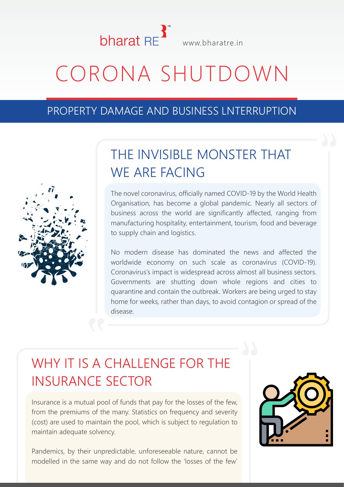

# CORONA SHUTDOWN

#### PROPERTY DAMAGE AND BUSINESS LNTERRUPTION



### THE INVISIBLE MONSTER THAT WE ARE FACING

The novel coronavirus, officially named COVID-19 by the World Health Organisation, has become a global pandemic. Nearly all sectors of business across the world are significantly affected, ranging from manufacturing hospitality, entertainment, tourism, food and beverage to supply chain and logistics.

No modern disease has dominated the news and affected the worldwide economy on such scale as coronavirus (COVID-19). Coronavirus's impact is widespread across almost all business sectors. Governments are shutting down whole regions and cities to quarantine and contain the outbreak. Workers are being urged to stay home for weeks, rather than days, to avoid contagion or spread of the disease.

# WHY IT IS A CHALLENGE FOR THE INSURANCE SECTOR

Insurance is a mutual pool of funds that pay for the losses of the few, from the premiums of the many. Statistics on frequency and severity (cost) are used to maintain the pool, which is subject to regulation to maintain adequate solvency.

Pandemics, by their unpredictable, unforeseeable nature, cannot be modelled in the same way and do not follow the 'losses of the few'

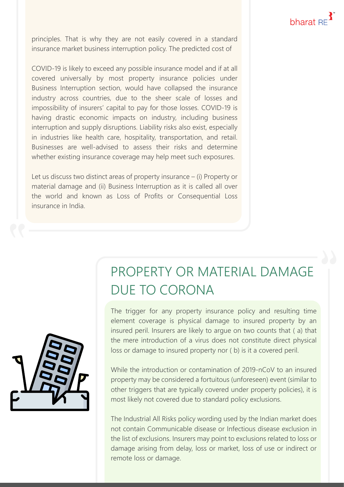principles. That is why they are not easily covered in a standard insurance market business interruption policy. The predicted cost of

COVID-19 is likely to exceed any possible insurance model and if at all covered universally by most property insurance policies under Business Interruption section, would have collapsed the insurance industry across countries, due to the sheer scale of losses and impossibility of insurers' capital to pay for those losses. COVID-19 is having drastic economic impacts on industry, including business interruption and supply disruptions. Liability risks also exist, especially in industries like health care, hospitality, transportation, and retail. Businesses are well-advised to assess their risks and determine whether existing insurance coverage may help meet such exposures.

Let us discuss two distinct areas of property insurance – (i) Property or material damage and (ii) Business Interruption as it is called all over the world and known as Loss of Profits or Consequential Loss insurance in India.

> PROPERTY OR MATERIAL DAMAGE DUE TO CORONA

The trigger for any property insurance policy and resulting time element coverage is physical damage to insured property by an insured peril. Insurers are likely to argue on two counts that ( a) that the mere introduction of a virus does not constitute direct physical loss or damage to insured property nor ( b) is it a covered peril.

While the introduction or contamination of 2019-nCoV to an insured property may be considered a fortuitous (unforeseen) event (similar to other triggers that are typically covered under property policies), it is most likely not covered due to standard policy exclusions.

The Industrial All Risks policy wording used by the Indian market does not contain Communicable disease or Infectious disease exclusion in the list of exclusions. Insurers may point to exclusions related to loss or damage arising from delay, loss or market, loss of use or indirect or remote loss or damage.

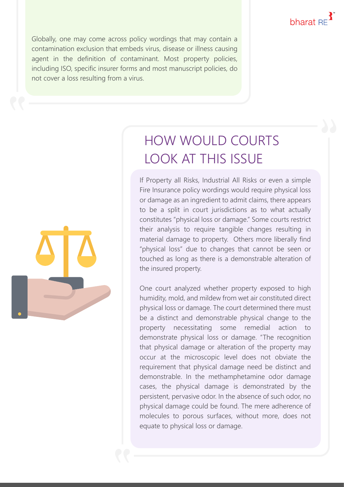Globally, one may come across policy wordings that may contain a contamination exclusion that embeds virus, disease or illness causing agent in the definition of contaminant. Most property policies, including ISO, specific insurer forms and most manuscript policies, do not cover a loss resulting from a virus.



# HOW WOULD COURTS LOOK AT THIS ISSUE

If Property all Risks, Industrial All Risks or even a simple Fire Insurance policy wordings would require physical loss or damage as an ingredient to admit claims, there appears to be a split in court jurisdictions as to what actually constitutes "physical loss or damage." Some courts restrict their analysis to require tangible changes resulting in material damage to property. Others more liberally find "physical loss" due to changes that cannot be seen or touched as long as there is a demonstrable alteration of the insured property.

One court analyzed whether property exposed to high humidity, mold, and mildew from wet air constituted direct physical loss or damage. The court determined there must be a distinct and demonstrable physical change to the property necessitating some remedial action to demonstrate physical loss or damage. "The recognition that physical damage or alteration of the property may occur at the microscopic level does not obviate the requirement that physical damage need be distinct and demonstrable. In the methamphetamine odor damage cases, the physical damage is demonstrated by the persistent, pervasive odor. In the absence of such odor, no physical damage could be found. The mere adherence of molecules to porous surfaces, without more, does not equate to physical loss or damage.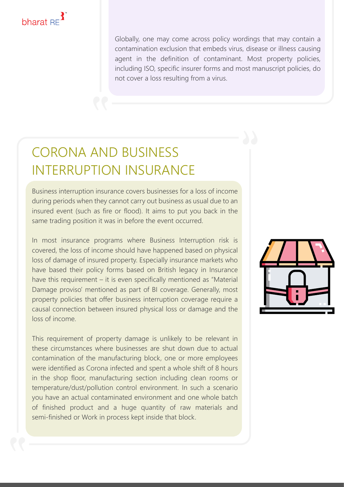

Globally, one may come across policy wordings that may contain a contamination exclusion that embeds virus, disease or illness causing agent in the definition of contaminant. Most property policies, including ISO, specific insurer forms and most manuscript policies, do not cover a loss resulting from a virus.

### CORONA AND BUSINESS INTERRUPTION INSURANCE

Business interruption insurance covers businesses for a loss of income during periods when they cannot carry out business as usual due to an insured event (such as fire or flood). It aims to put you back in the same trading position it was in before the event occurred.

In most insurance programs where Business Interruption risk is covered, the loss of income should have happened based on physical loss of damage of insured property. Especially insurance markets who have based their policy forms based on British legacy in Insurance have this requirement – it is even specifically mentioned as "Material Damage proviso' mentioned as part of BI coverage. Generally, most property policies that offer business interruption coverage require a causal connection between insured physical loss or damage and the loss of income.

This requirement of property damage is unlikely to be relevant in these circumstances where businesses are shut down due to actual contamination of the manufacturing block, one or more employees were identified as Corona infected and spent a whole shift of 8 hours in the shop floor, manufacturing section including clean rooms or temperature/dust/pollution control environment. In such a scenario you have an actual contaminated environment and one whole batch of finished product and a huge quantity of raw materials and semi-finished or Work in process kept inside that block.

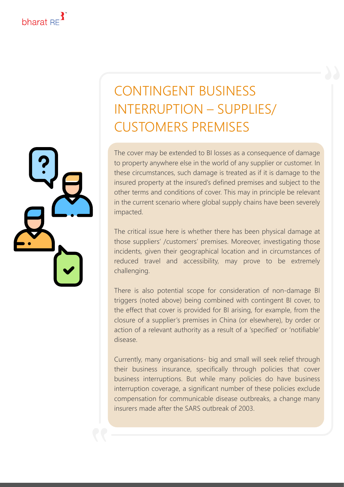

# CONTINGENT BUSINESS INTERRUPTION – SUPPLIES/ CUSTOMERS PREMISES

The cover may be extended to BI losses as a consequence of damage to property anywhere else in the world of any supplier or customer. In these circumstances, such damage is treated as if it is damage to the insured property at the insured's defined premises and subject to the other terms and conditions of cover. This may in principle be relevant in the current scenario where global supply chains have been severely impacted.

The critical issue here is whether there has been physical damage at those suppliers' /customers' premises. Moreover, investigating those incidents, given their geographical location and in circumstances of reduced travel and accessibility, may prove to be extremely challenging.

There is also potential scope for consideration of non-damage BI triggers (noted above) being combined with contingent BI cover, to the effect that cover is provided for BI arising, for example, from the closure of a supplier's premises in China (or elsewhere), by order or action of a relevant authority as a result of a 'specified' or 'notifiable' disease.

Currently, many organisations- big and small will seek relief through their business insurance, specifically through policies that cover business interruptions. But while many policies do have business interruption coverage, a significant number of these policies exclude compensation for communicable disease outbreaks, a change many insurers made after the SARS outbreak of 2003.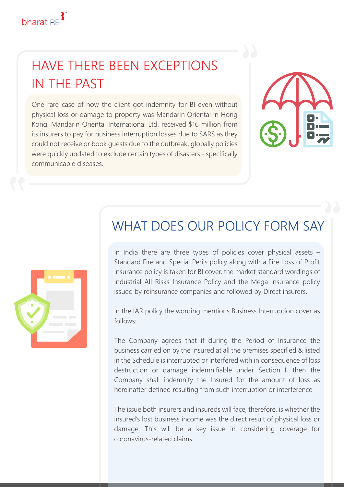

#### HAVE THERE BEEN EXCEPTIONS IN THE PAST

One rare case of how the client got indemnity for BI even without physical loss or damage to property was Mandarin Oriental in Hong Kong. Mandarin Oriental International Ltd. received \$16 million from its insurers to pay for business interruption losses due to SARS as they could not receive or book guests due to the outbreak, globally policies were quickly updated to exclude certain types of disasters - specifically communicable diseases.





#### WHAT DOES OUR POLICY FORM SAY

In India there are three types of policies cover physical assets – Standard Fire and Special Perils policy along with a Fire Loss of Profit Insurance policy is taken for BI cover, the market standard wordings of Industrial All Risks Insurance Policy and the Mega Insurance policy issued by reinsurance companies and followed by Direct insurers.

In the IAR policy the wording mentions Business Interruption cover as follows:

The Company agrees that if during the Period of Insurance the business carried on by the Insured at all the premises specified & listed in the Schedule is interrupted or interfered with in consequence of loss destruction or damage indemnifiable under Section I, then the Company shall indemnify the Insured for the amount of loss as hereinafter defined resulting from such interruption or interference

The issue both insurers and insureds will face, therefore, is whether the insured's lost business income was the direct result of physical loss or damage. This will be a key issue in considering coverage for coronavirus-related claims.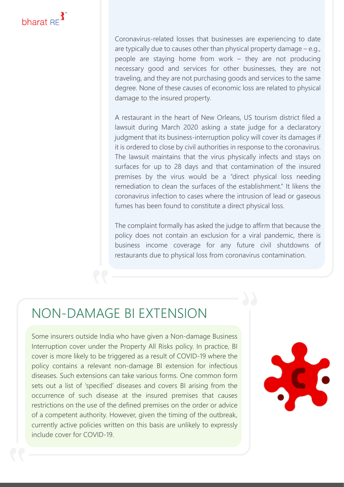

Coronavirus-related losses that businesses are experiencing to date are typically due to causes other than physical property damage – e.g., people are staying home from work – they are not producing necessary good and services for other businesses, they are not traveling, and they are not purchasing goods and services to the same degree. None of these causes of economic loss are related to physical damage to the insured property.

A restaurant in the heart of New Orleans, US tourism district filed a lawsuit during March 2020 asking a state judge for a declaratory judgment that its business-interruption policy will cover its damages if it is ordered to close by civil authorities in response to the coronavirus. The lawsuit maintains that the virus physically infects and stays on surfaces for up to 28 days and that contamination of the insured premises by the virus would be a "direct physical loss needing remediation to clean the surfaces of the establishment." It likens the coronavirus infection to cases where the intrusion of lead or gaseous fumes has been found to constitute a direct physical loss.

The complaint formally has asked the judge to affirm that because the policy does not contain an exclusion for a viral pandemic, there is business income coverage for any future civil shutdowns of restaurants due to physical loss from coronavirus contamination.

#### NON-DAMAGE BI EXTENSION

Some insurers outside India who have given a Non-damage Business Interruption cover under the Property All Risks policy. In practice, BI cover is more likely to be triggered as a result of COVID-19 where the policy contains a relevant non-damage BI extension for infectious diseases. Such extensions can take various forms. One common form sets out a list of 'specified' diseases and covers BI arising from the occurrence of such disease at the insured premises that causes restrictions on the use of the defined premises on the order or advice of a competent authority. However, given the timing of the outbreak, currently active policies written on this basis are unlikely to expressly include cover for COVID-19.